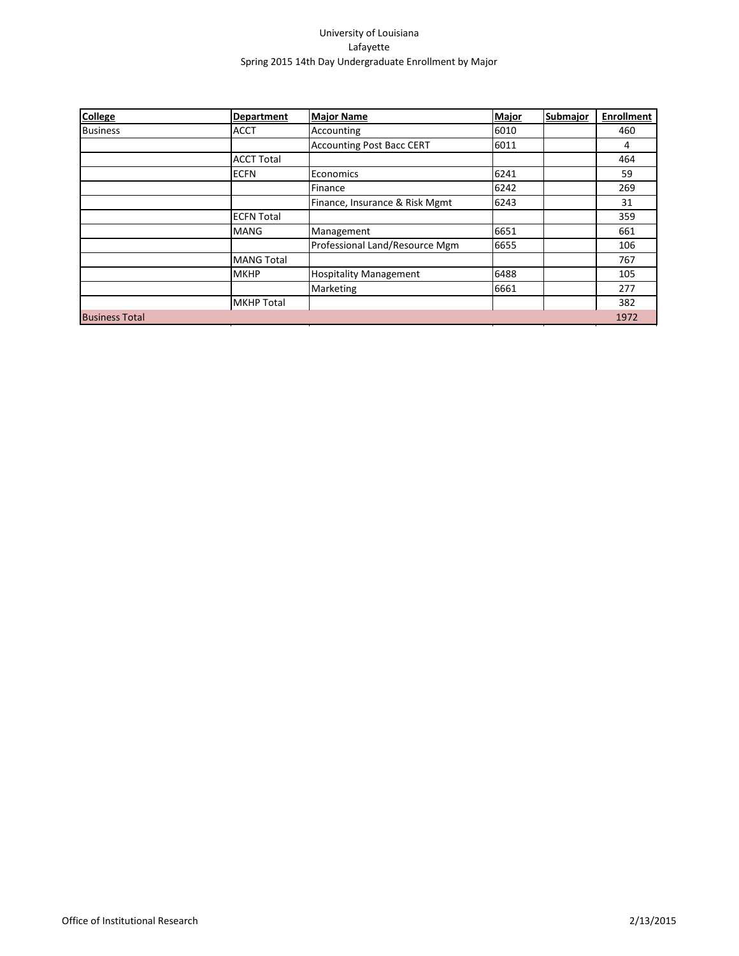| <b>College</b>        | <b>Department</b> | <b>Major Name</b>                | Major | Submajor | <b>Enrollment</b> |
|-----------------------|-------------------|----------------------------------|-------|----------|-------------------|
| <b>Business</b>       | <b>ACCT</b>       | Accounting                       | 6010  |          | 460               |
|                       |                   | <b>Accounting Post Bacc CERT</b> | 6011  |          | 4                 |
|                       | <b>ACCT Total</b> |                                  |       |          | 464               |
|                       | <b>ECFN</b>       | Economics                        | 6241  |          | 59                |
|                       |                   | Finance                          | 6242  |          | 269               |
|                       |                   | Finance, Insurance & Risk Mgmt   | 6243  |          | 31                |
|                       | <b>ECFN Total</b> |                                  |       |          | 359               |
|                       | MANG              | Management                       | 6651  |          | 661               |
|                       |                   | Professional Land/Resource Mgm   | 6655  |          | 106               |
|                       | <b>MANG Total</b> |                                  |       |          | 767               |
|                       | <b>MKHP</b>       | <b>Hospitality Management</b>    | 6488  |          | 105               |
|                       |                   | Marketing                        | 6661  |          | 277               |
|                       | <b>MKHP Total</b> |                                  |       |          | 382               |
| <b>Business Total</b> |                   |                                  |       |          | 1972              |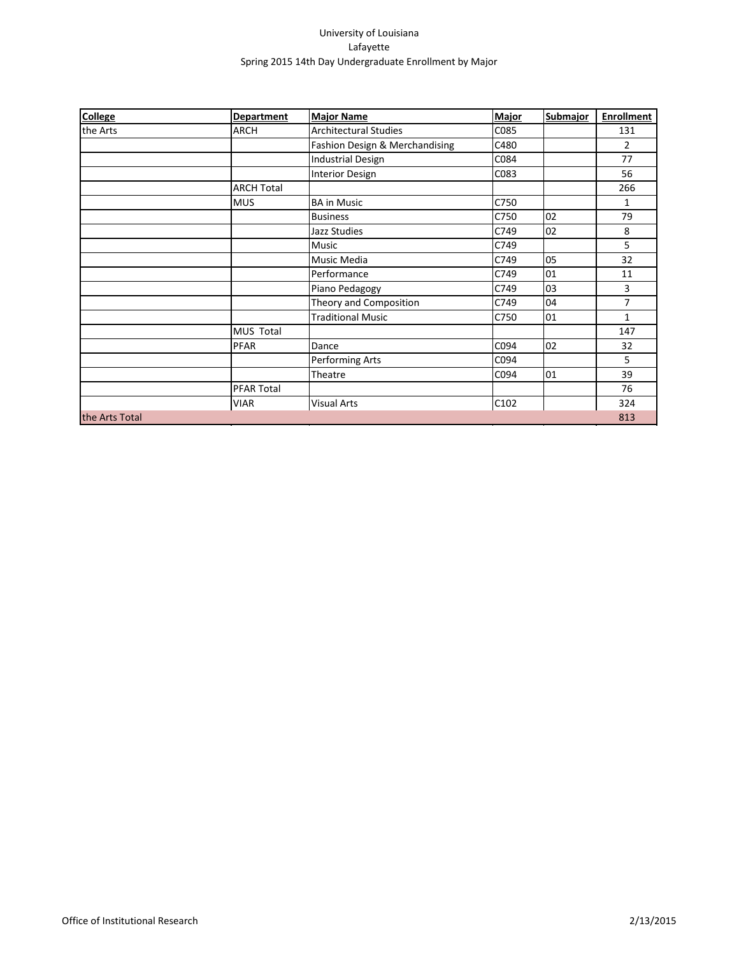| <b>College</b> | Department        | <b>Major Name</b>              | Major | Submajor | <b>Enrollment</b> |
|----------------|-------------------|--------------------------------|-------|----------|-------------------|
| the Arts       | <b>ARCH</b>       | <b>Architectural Studies</b>   | C085  |          | 131               |
|                |                   | Fashion Design & Merchandising | C480  |          | $\overline{2}$    |
|                |                   | <b>Industrial Design</b>       | C084  |          | 77                |
|                |                   | <b>Interior Design</b>         | C083  |          | 56                |
|                | <b>ARCH Total</b> |                                |       |          | 266               |
|                | <b>MUS</b>        | <b>BA in Music</b>             | C750  |          | 1                 |
|                |                   | <b>Business</b>                | C750  | 02       | 79                |
|                |                   | Jazz Studies                   | C749  | 02       | 8                 |
|                |                   | <b>Music</b>                   | C749  |          | 5                 |
|                |                   | <b>Music Media</b>             | C749  | 05       | 32                |
|                |                   | Performance                    | C749  | 01       | 11                |
|                |                   | Piano Pedagogy                 | C749  | 03       | 3                 |
|                |                   | Theory and Composition         | C749  | 04       | $\overline{7}$    |
|                |                   | <b>Traditional Music</b>       | C750  | 01       | $\mathbf{1}$      |
|                | MUS Total         |                                |       |          | 147               |
|                | <b>PFAR</b>       | Dance                          | C094  | 02       | 32                |
|                |                   | <b>Performing Arts</b>         | C094  |          | 5                 |
|                |                   | Theatre                        | C094  | 01       | 39                |
|                | <b>PFAR Total</b> |                                |       |          | 76                |
|                | VIAR              | Visual Arts                    | C102  |          | 324               |
| the Arts Total |                   |                                |       |          | 813               |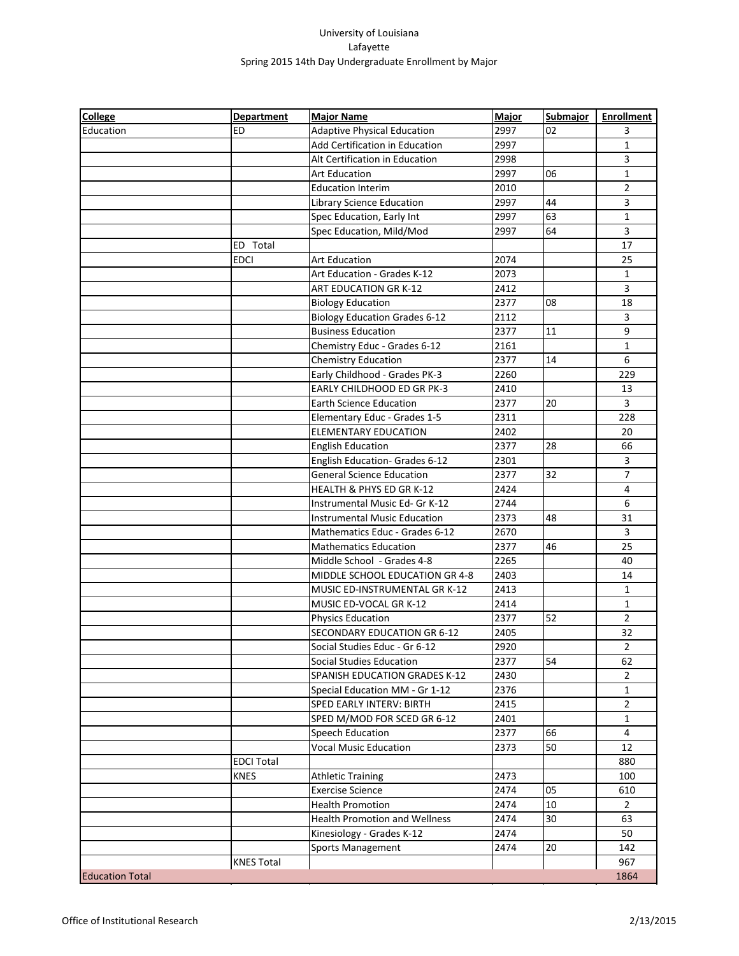| <b>College</b>         | <b>Department</b> | <b>Major Name</b>                    | <b>Major</b> | <b>Submajor</b> | <b>Enrollment</b> |
|------------------------|-------------------|--------------------------------------|--------------|-----------------|-------------------|
| Education              | ED                | <b>Adaptive Physical Education</b>   | 2997         | 02              | 3                 |
|                        |                   | Add Certification in Education       | 2997         |                 | $\mathbf{1}$      |
|                        |                   | Alt Certification in Education       | 2998         |                 | 3                 |
|                        |                   | <b>Art Education</b>                 | 2997         | 06              | 1                 |
|                        |                   | <b>Education Interim</b>             | 2010         |                 | 2                 |
|                        |                   | Library Science Education            | 2997         | 44              | 3                 |
|                        |                   | Spec Education, Early Int            | 2997         | 63              | $\mathbf{1}$      |
|                        |                   | Spec Education, Mild/Mod             | 2997         | 64              | $\overline{3}$    |
|                        | ED Total          |                                      |              |                 | 17                |
|                        | <b>EDCI</b>       | <b>Art Education</b>                 | 2074         |                 | 25                |
|                        |                   | Art Education - Grades K-12          | 2073         |                 | $\mathbf{1}$      |
|                        |                   | ART EDUCATION GR K-12                | 2412         |                 | $\overline{3}$    |
|                        |                   | <b>Biology Education</b>             | 2377         | 08              | 18                |
|                        |                   | <b>Biology Education Grades 6-12</b> | 2112         |                 | 3                 |
|                        |                   | <b>Business Education</b>            | 2377         | 11              | 9                 |
|                        |                   | Chemistry Educ - Grades 6-12         | 2161         |                 | $\mathbf{1}$      |
|                        |                   | Chemistry Education                  | 2377         | 14              | 6                 |
|                        |                   | Early Childhood - Grades PK-3        | 2260         |                 | 229               |
|                        |                   | EARLY CHILDHOOD ED GR PK-3           | 2410         |                 | 13                |
|                        |                   | <b>Earth Science Education</b>       | 2377         | 20              | $\overline{3}$    |
|                        |                   | Elementary Educ - Grades 1-5         | 2311         |                 | 228               |
|                        |                   | <b>ELEMENTARY EDUCATION</b>          | 2402         |                 | 20                |
|                        |                   | <b>English Education</b>             | 2377         | 28              | 66                |
|                        |                   | English Education- Grades 6-12       | 2301         |                 | $\mathbf{3}$      |
|                        |                   | <b>General Science Education</b>     | 2377         | 32              | $\overline{7}$    |
|                        |                   | HEALTH & PHYS ED GR K-12             | 2424         |                 | 4                 |
|                        |                   | Instrumental Music Ed- Gr K-12       | 2744         |                 | 6                 |
|                        |                   | <b>Instrumental Music Education</b>  | 2373         | 48              | 31                |
|                        |                   | Mathematics Educ - Grades 6-12       | 2670         |                 | 3                 |
|                        |                   | <b>Mathematics Education</b>         | 2377         | 46              | 25                |
|                        |                   | Middle School - Grades 4-8           | 2265         |                 | 40                |
|                        |                   | MIDDLE SCHOOL EDUCATION GR 4-8       | 2403         |                 | 14                |
|                        |                   | MUSIC ED-INSTRUMENTAL GR K-12        | 2413         |                 | $\mathbf{1}$      |
|                        |                   | MUSIC ED-VOCAL GR K-12               | 2414         |                 | $\mathbf{1}$      |
|                        |                   | <b>Physics Education</b>             | 2377         | 52              | $\overline{2}$    |
|                        |                   | SECONDARY EDUCATION GR 6-12          | 2405         |                 | 32                |
|                        |                   | Social Studies Educ - Gr 6-12        | 2920         |                 | $\overline{2}$    |
|                        |                   | Social Studies Education             | 2377         | 54              | 62                |
|                        |                   | SPANISH EDUCATION GRADES K-12        | 2430         |                 | $\overline{2}$    |
|                        |                   | Special Education MM - Gr 1-12       | 2376         |                 | $\mathbf{1}$      |
|                        |                   | SPED EARLY INTERV: BIRTH             | 2415         |                 | $\overline{2}$    |
|                        |                   | SPED M/MOD FOR SCED GR 6-12          | 2401         |                 | 1                 |
|                        |                   | Speech Education                     | 2377         | 66              | 4                 |
|                        |                   | <b>Vocal Music Education</b>         | 2373         | 50              | 12                |
|                        | <b>EDCI Total</b> |                                      |              |                 | 880               |
|                        | <b>KNES</b>       | <b>Athletic Training</b>             | 2473         |                 | 100               |
|                        |                   | <b>Exercise Science</b>              | 2474         | 05              | 610               |
|                        |                   | <b>Health Promotion</b>              | 2474         | 10              | $\overline{2}$    |
|                        |                   | <b>Health Promotion and Wellness</b> | 2474         | 30              | 63                |
|                        |                   | Kinesiology - Grades K-12            | 2474         |                 | 50                |
|                        |                   | Sports Management                    | 2474         | 20              | 142               |
|                        | <b>KNES Total</b> |                                      |              |                 | 967               |
| <b>Education Total</b> |                   |                                      |              |                 | 1864              |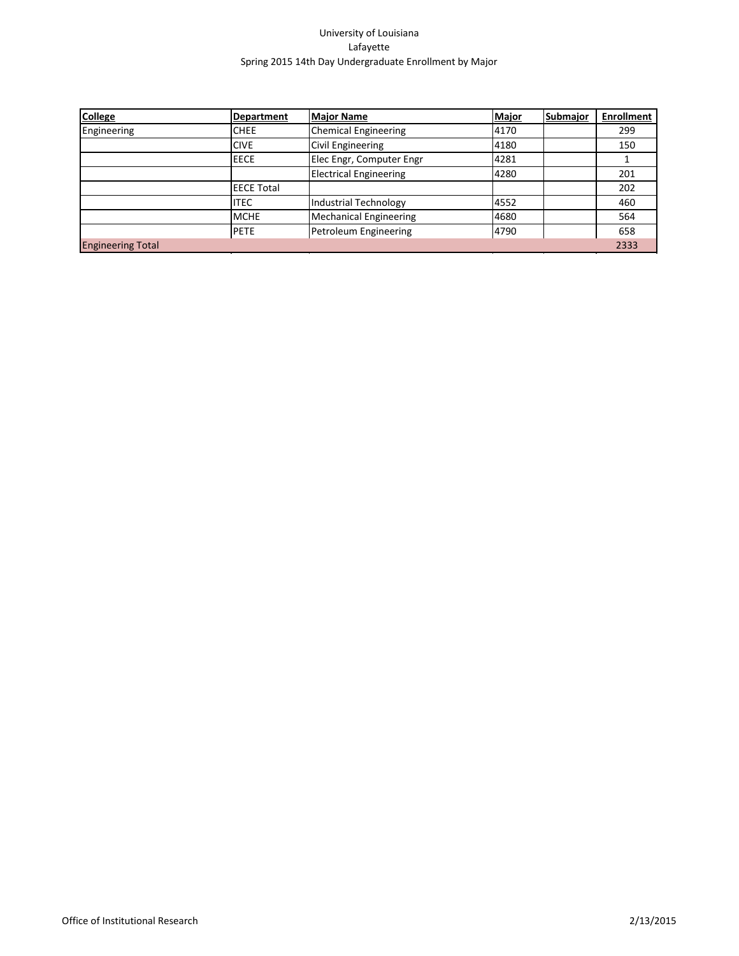| <b>College</b>           | Department   | <b>Major Name</b>             | Major | <b>Submajor</b> | <b>Enrollment</b> |
|--------------------------|--------------|-------------------------------|-------|-----------------|-------------------|
| Engineering              | <b>CHEE</b>  | Chemical Engineering          | 4170  |                 | 299               |
|                          | <b>CIVE</b>  | Civil Engineering             | 4180  |                 | 150               |
|                          | <b>IEECE</b> | Elec Engr, Computer Engr      | 4281  |                 |                   |
|                          |              | <b>Electrical Engineering</b> | 4280  |                 | 201               |
|                          | IEECE Total  |                               |       |                 | 202               |
|                          | litec        | Industrial Technology         | 4552  |                 | 460               |
|                          | <b>MCHE</b>  | Mechanical Engineering        | 4680  |                 | 564               |
|                          | <b>IPETE</b> | Petroleum Engineering         | 4790  |                 | 658               |
| <b>Engineering Total</b> |              |                               |       |                 | 2333              |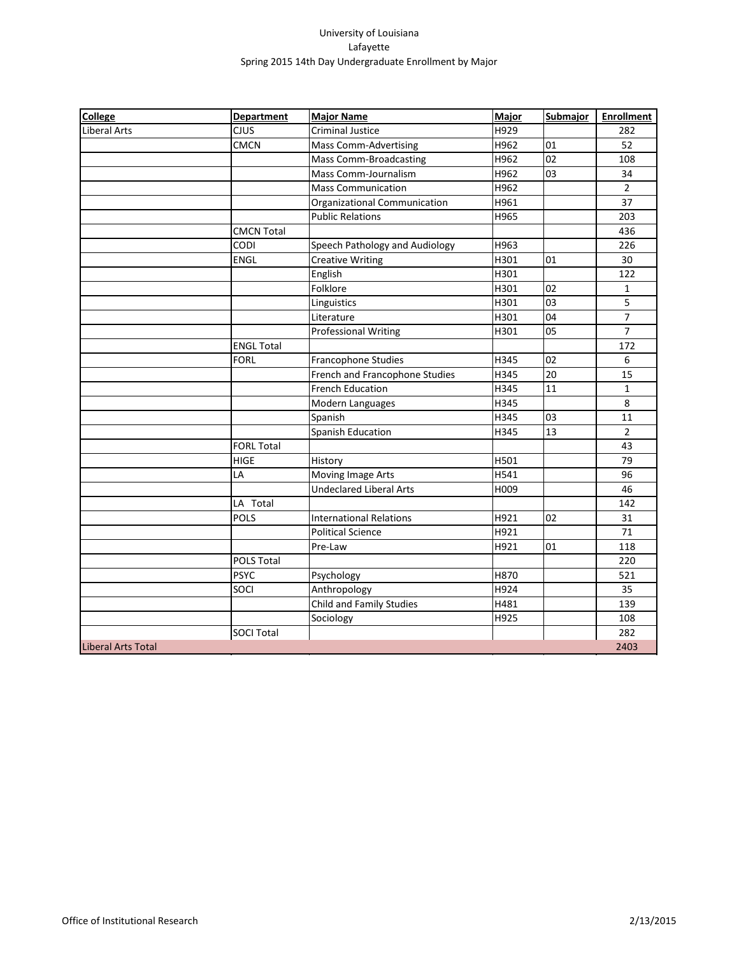| <b>College</b>            | <b>Department</b> | <b>Major Name</b>               | <b>Major</b> | Submajor | <b>Enrollment</b> |
|---------------------------|-------------------|---------------------------------|--------------|----------|-------------------|
| <b>Liberal Arts</b>       | <b>CJUS</b>       | <b>Criminal Justice</b>         | H929         |          | 282               |
|                           | <b>CMCN</b>       | <b>Mass Comm-Advertising</b>    | H962         | 01       | 52                |
|                           |                   | <b>Mass Comm-Broadcasting</b>   | H962         | 02       | 108               |
|                           |                   | Mass Comm-Journalism            | H962         | 03       | 34                |
|                           |                   | <b>Mass Communication</b>       | H962         |          | $\overline{2}$    |
|                           |                   | Organizational Communication    | H961         |          | 37                |
|                           |                   | <b>Public Relations</b>         | H965         |          | 203               |
|                           | <b>CMCN Total</b> |                                 |              |          | 436               |
|                           | CODI              | Speech Pathology and Audiology  | H963         |          | 226               |
|                           | <b>ENGL</b>       | <b>Creative Writing</b>         | H301         | 01       | 30                |
|                           |                   | English                         | H301         |          | 122               |
|                           |                   | Folklore                        | H301         | 02       | $\mathbf{1}$      |
|                           |                   | Linguistics                     | H301         | 03       | 5                 |
|                           |                   | Literature                      | H301         | 04       | 7                 |
|                           |                   | <b>Professional Writing</b>     | H301         | 05       | $\overline{7}$    |
|                           | <b>ENGL Total</b> |                                 |              |          | 172               |
|                           | <b>FORL</b>       | Francophone Studies             | H345         | 02       | 6                 |
|                           |                   | French and Francophone Studies  | H345         | 20       | 15                |
|                           |                   | <b>French Education</b>         | H345         | 11       | $\mathbf{1}$      |
|                           |                   | Modern Languages                | H345         |          | 8                 |
|                           |                   | Spanish                         | H345         | 03       | 11                |
|                           |                   | Spanish Education               | H345         | 13       | $\overline{2}$    |
|                           | <b>FORL Total</b> |                                 |              |          | 43                |
|                           | <b>HIGE</b>       | History                         | H501         |          | 79                |
|                           | LA                | Moving Image Arts               | H541         |          | 96                |
|                           |                   | <b>Undeclared Liberal Arts</b>  | H009         |          | 46                |
|                           | LA Total          |                                 |              |          | 142               |
|                           | POLS              | <b>International Relations</b>  | H921         | 02       | 31                |
|                           |                   | <b>Political Science</b>        | H921         |          | 71                |
|                           |                   | Pre-Law                         | H921         | 01       | 118               |
|                           | <b>POLS Total</b> |                                 |              |          | 220               |
|                           | <b>PSYC</b>       | Psychology                      | H870         |          | 521               |
|                           | SOCI              | Anthropology                    | H924         |          | 35                |
|                           |                   | <b>Child and Family Studies</b> | H481         |          | 139               |
|                           |                   | Sociology                       | H925         |          | 108               |
|                           | <b>SOCI Total</b> |                                 |              |          | 282               |
| <b>Liberal Arts Total</b> |                   |                                 |              |          | 2403              |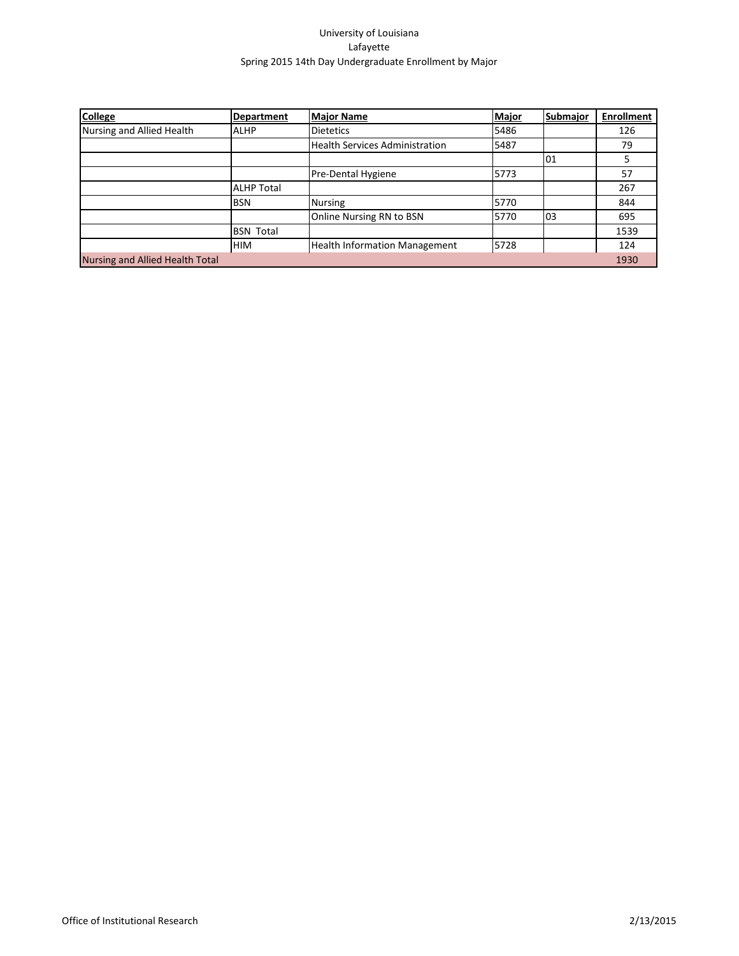| <b>College</b>                  | Department        | <b>Major Name</b>                     | Major | Submajor | <b>Enrollment</b> |
|---------------------------------|-------------------|---------------------------------------|-------|----------|-------------------|
| Nursing and Allied Health       | <b>ALHP</b>       | <b>Dietetics</b>                      | 5486  |          | 126               |
|                                 |                   | <b>Health Services Administration</b> | 5487  |          | 79                |
|                                 |                   |                                       |       | 01       | 5                 |
|                                 |                   | Pre-Dental Hygiene                    | 5773  |          | 57                |
|                                 | <b>ALHP Total</b> |                                       |       |          | 267               |
|                                 | <b>BSN</b>        | <b>Nursing</b>                        | 5770  |          | 844               |
|                                 |                   | Online Nursing RN to BSN              | 5770  | 03       | 695               |
|                                 | <b>BSN Total</b>  |                                       |       |          | 1539              |
|                                 | <b>HIM</b>        | <b>Health Information Management</b>  | 5728  |          | 124               |
| Nursing and Allied Health Total |                   |                                       |       |          | 1930              |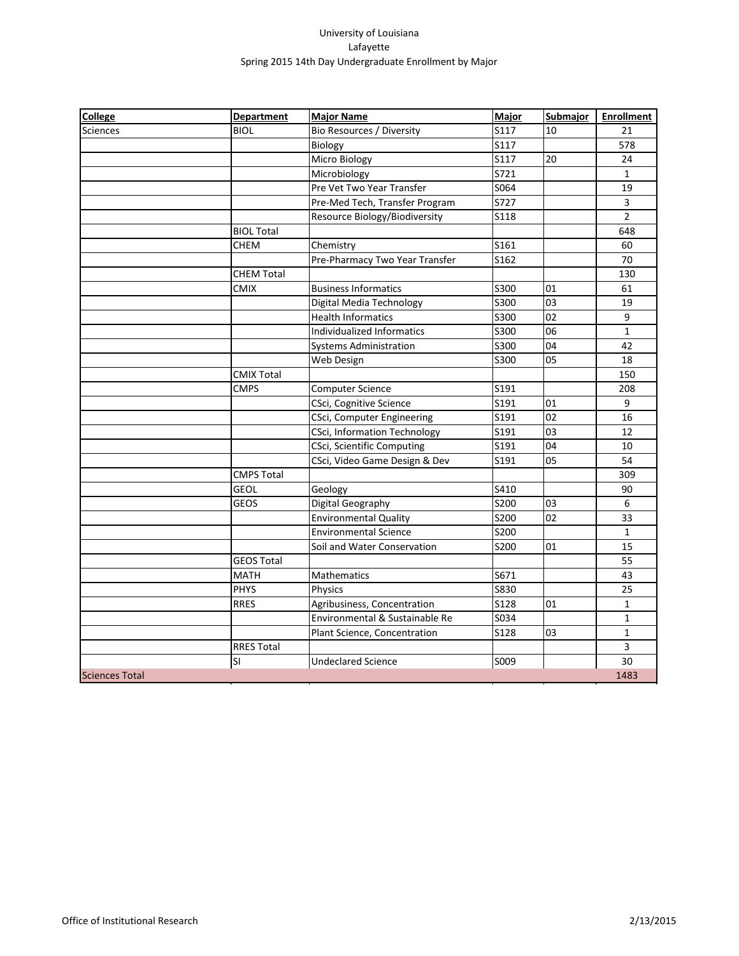| <b>College</b>        | <b>Department</b> | <b>Major Name</b>                   | <b>Major</b> | Submajor        | <b>Enrollment</b> |
|-----------------------|-------------------|-------------------------------------|--------------|-----------------|-------------------|
| <b>Sciences</b>       | <b>BIOL</b>       | Bio Resources / Diversity           | S117         | 10              | 21                |
|                       |                   | Biology                             | S117         |                 | 578               |
|                       |                   | Micro Biology                       | S117         | 20              | 24                |
|                       |                   | Microbiology                        | S721         |                 | $\mathbf{1}$      |
|                       |                   | Pre Vet Two Year Transfer           | S064         |                 | 19                |
|                       |                   | Pre-Med Tech, Transfer Program      | S727         |                 | 3                 |
|                       |                   | Resource Biology/Biodiversity       | S118         |                 | $\overline{2}$    |
|                       | <b>BIOL Total</b> |                                     |              |                 | 648               |
|                       | <b>CHEM</b>       | Chemistry                           | S161         |                 | 60                |
|                       |                   | Pre-Pharmacy Two Year Transfer      | S162         |                 | 70                |
|                       | <b>CHEM Total</b> |                                     |              |                 | 130               |
|                       | <b>CMIX</b>       | <b>Business Informatics</b>         | S300         | 01              | 61                |
|                       |                   | Digital Media Technology            | S300         | 03              | 19                |
|                       |                   | <b>Health Informatics</b>           | S300         | 02              | 9                 |
|                       |                   | Individualized Informatics          | S300         | 06              | $\mathbf{1}$      |
|                       |                   | <b>Systems Administration</b>       | S300         | 04              | 42                |
|                       |                   | Web Design                          | S300         | $\overline{05}$ | 18                |
|                       | <b>CMIX Total</b> |                                     |              |                 | 150               |
|                       | <b>CMPS</b>       | <b>Computer Science</b>             | S191         |                 | 208               |
|                       |                   | CSci, Cognitive Science             | S191         | 01              | 9                 |
|                       |                   | CSci, Computer Engineering          | S191         | 02              | 16                |
|                       |                   | <b>CSci, Information Technology</b> | S191         | 03              | 12                |
|                       |                   | CSci, Scientific Computing          | S191         | 04              | 10                |
|                       |                   | CSci, Video Game Design & Dev       | S191         | $\overline{05}$ | 54                |
|                       | <b>CMPS Total</b> |                                     |              |                 | 309               |
|                       | <b>GEOL</b>       | Geology                             | S410         |                 | 90                |
|                       | <b>GEOS</b>       | Digital Geography                   | S200         | 03              | 6                 |
|                       |                   | <b>Environmental Quality</b>        | S200         | 02              | 33                |
|                       |                   | <b>Environmental Science</b>        | S200         |                 | $\mathbf{1}$      |
|                       |                   | Soil and Water Conservation         | S200         | 01              | 15                |
|                       | <b>GEOS Total</b> |                                     |              |                 | 55                |
|                       | <b>MATH</b>       | Mathematics                         | S671         |                 | 43                |
|                       | <b>PHYS</b>       | Physics                             | <b>S830</b>  |                 | 25                |
|                       | <b>RRES</b>       | Agribusiness, Concentration         | <b>S128</b>  | 01              | $\mathbf{1}$      |
|                       |                   | Environmental & Sustainable Re      | S034         |                 | $\mathbf{1}$      |
|                       |                   | Plant Science, Concentration        | <b>S128</b>  | 03              | $\mathbf{1}$      |
|                       | <b>RRES Total</b> |                                     |              |                 | 3                 |
|                       | SI                | <b>Undeclared Science</b>           | S009         |                 | 30                |
| <b>Sciences Total</b> |                   |                                     |              |                 | 1483              |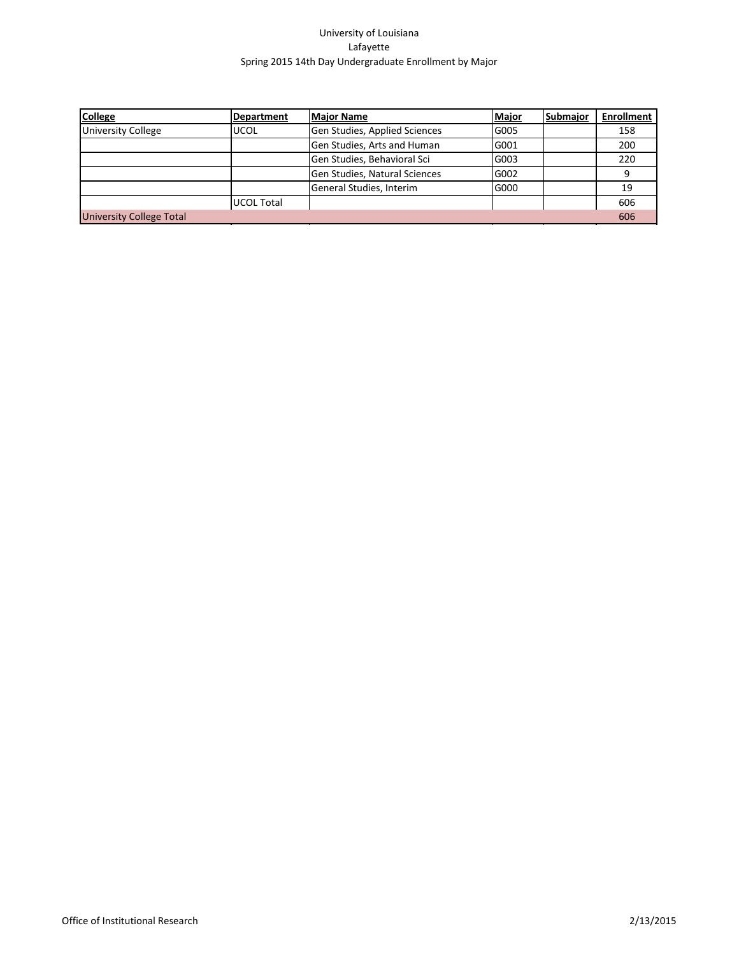| <b>College</b>                  | <b>Department</b> | <b>Major Name</b>             | Major | <b>Submajor</b> | <b>Enrollment</b> |
|---------------------------------|-------------------|-------------------------------|-------|-----------------|-------------------|
| <b>University College</b>       | <b>UCOL</b>       | Gen Studies, Applied Sciences | G005  |                 | 158               |
|                                 |                   | Gen Studies, Arts and Human   | G001  |                 | 200               |
|                                 |                   | Gen Studies, Behavioral Sci   | G003  |                 | 220               |
|                                 |                   | Gen Studies, Natural Sciences | G002  |                 | q                 |
|                                 |                   | General Studies, Interim      | G000  |                 | 19                |
|                                 | lUCOL Total       |                               |       |                 | 606               |
| <b>University College Total</b> |                   |                               |       |                 | 606               |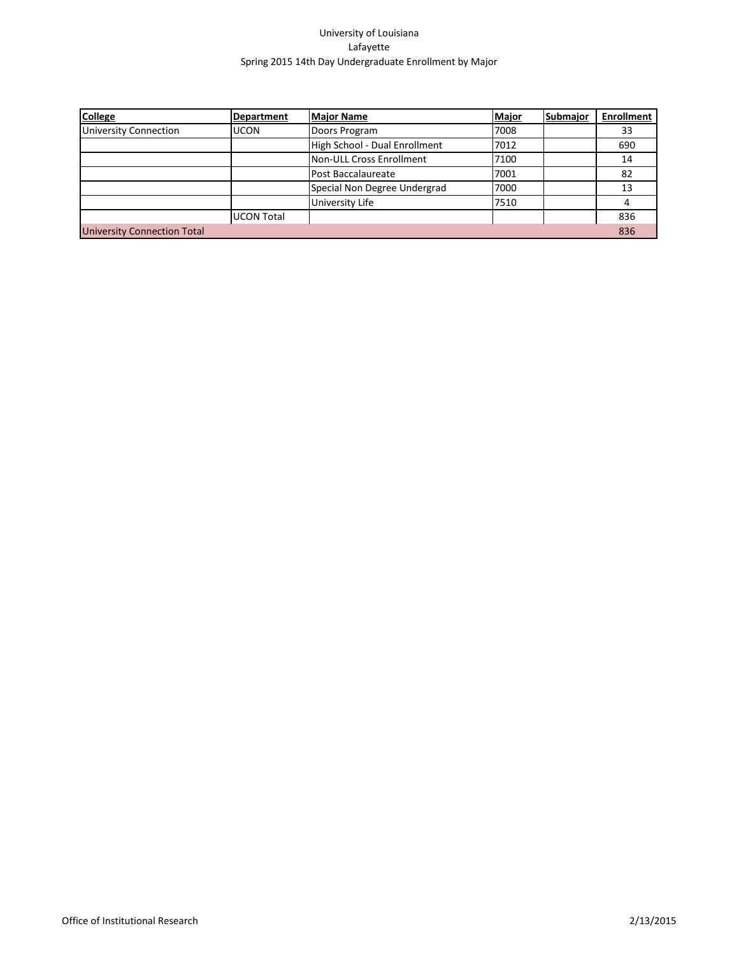| <b>College</b>                     | <b>Department</b> | <b>Major Name</b>             | Major | Submajor | <b>Enrollment</b> |
|------------------------------------|-------------------|-------------------------------|-------|----------|-------------------|
| <b>University Connection</b>       | <b>UCON</b>       | Doors Program                 | 7008  |          | 33                |
|                                    |                   | High School - Dual Enrollment | 7012  |          | 690               |
|                                    |                   | Non-ULL Cross Enrollment      | 7100  |          | 14                |
|                                    |                   | Post Baccalaureate            | 7001  |          | 82                |
|                                    |                   | Special Non Degree Undergrad  | 7000  |          | 13                |
|                                    |                   | University Life               | 7510  |          |                   |
|                                    | lUCON Total       |                               |       |          | 836               |
| <b>University Connection Total</b> |                   |                               |       |          | 836               |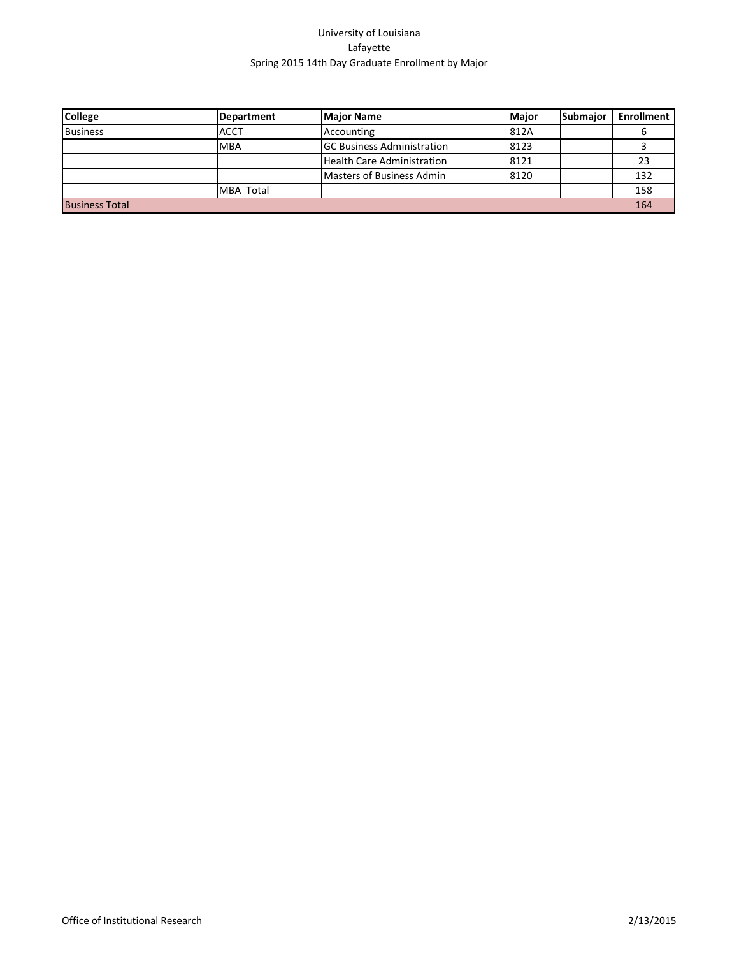| <b>College</b>        | Department       | <b>Major Name</b>                  | Major | Submajor | <b>Enrollment</b> |
|-----------------------|------------------|------------------------------------|-------|----------|-------------------|
| <b>Business</b>       | <b>ACCT</b>      | Accounting                         | 812A  |          |                   |
|                       | MBA              | <b>IGC Business Administration</b> | 8123  |          |                   |
|                       |                  | Health Care Administration         | 8121  |          | 23                |
|                       |                  | Masters of Business Admin          | 8120  |          | 132               |
|                       | <b>MBA Total</b> |                                    |       |          | 158               |
| <b>Business Total</b> |                  |                                    |       |          | 164               |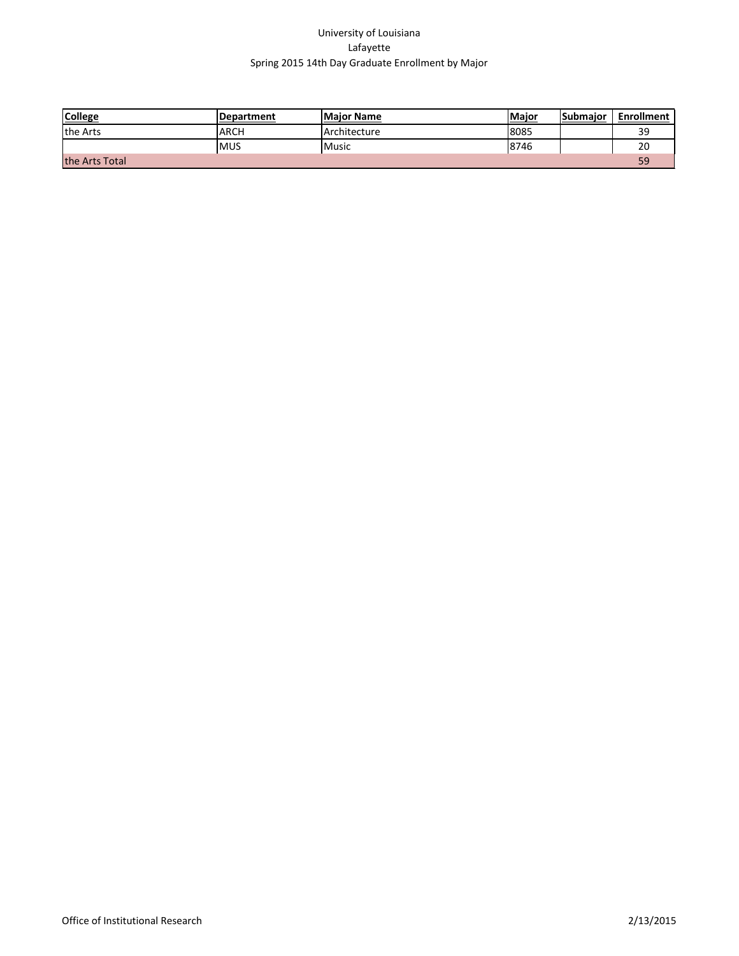| <b>College</b> | <b>Department</b> | <b>Maior Name</b> | Major | <b>Submaior</b> | <b>Enrollment</b> |
|----------------|-------------------|-------------------|-------|-----------------|-------------------|
| the Arts       | ARCH              | Architecture      | 8085  |                 | 20                |
|                | <b>MUS</b>        | Music             | 8746  |                 |                   |
| the Arts Total |                   |                   |       |                 |                   |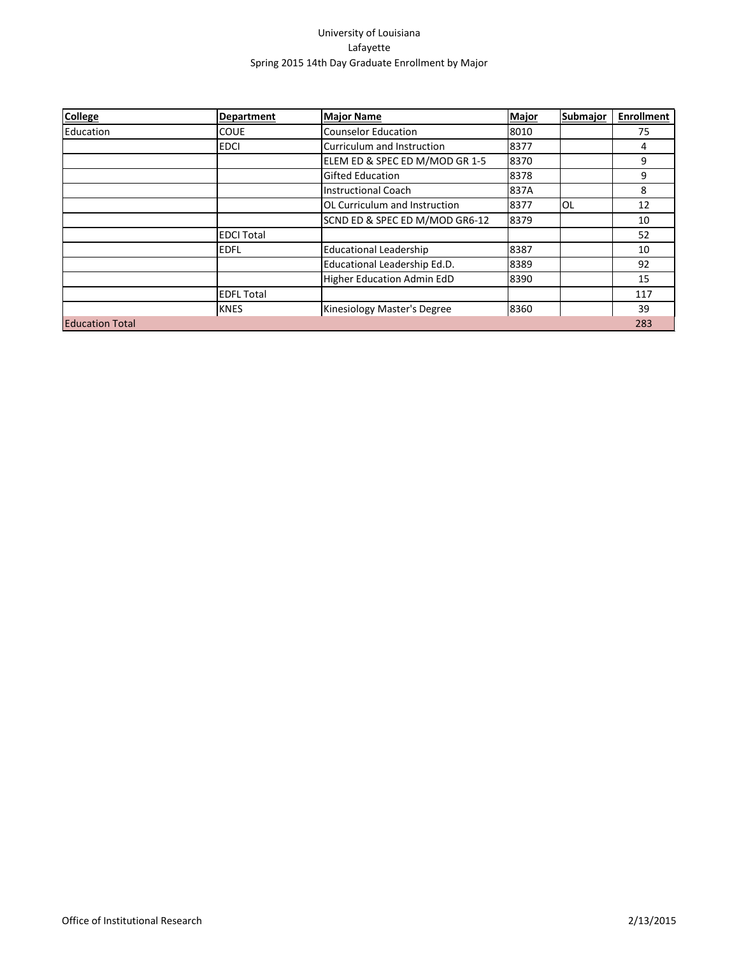| <b>College</b>         | <b>Department</b> | <b>Major Name</b>                    | <b>Major</b> | Submajor | <b>Enrollment</b> |
|------------------------|-------------------|--------------------------------------|--------------|----------|-------------------|
| Education              | <b>COUE</b>       | <b>Counselor Education</b>           | 8010         |          | 75                |
|                        | <b>EDCI</b>       | Curriculum and Instruction           | 8377         |          | 4                 |
|                        |                   | ELEM ED & SPEC ED M/MOD GR 1-5       | 8370         |          | 9                 |
|                        |                   | <b>Gifted Education</b>              | 8378         |          | 9                 |
|                        |                   | Instructional Coach                  | 837A         |          | 8                 |
|                        |                   | <b>OL Curriculum and Instruction</b> | 8377         | lol      | 12                |
|                        |                   | SCND ED & SPEC ED M/MOD GR6-12       | 8379         |          | 10                |
|                        | <b>EDCI Total</b> |                                      |              |          | 52                |
|                        | <b>EDFL</b>       | <b>Educational Leadership</b>        | 8387         |          | 10                |
|                        |                   | Educational Leadership Ed.D.         | 8389         |          | 92                |
|                        |                   | <b>Higher Education Admin EdD</b>    | 8390         |          | 15                |
|                        | <b>EDFL Total</b> |                                      |              |          | 117               |
|                        | <b>KNES</b>       | Kinesiology Master's Degree          | 8360         |          | 39                |
| <b>Education Total</b> |                   |                                      |              |          | 283               |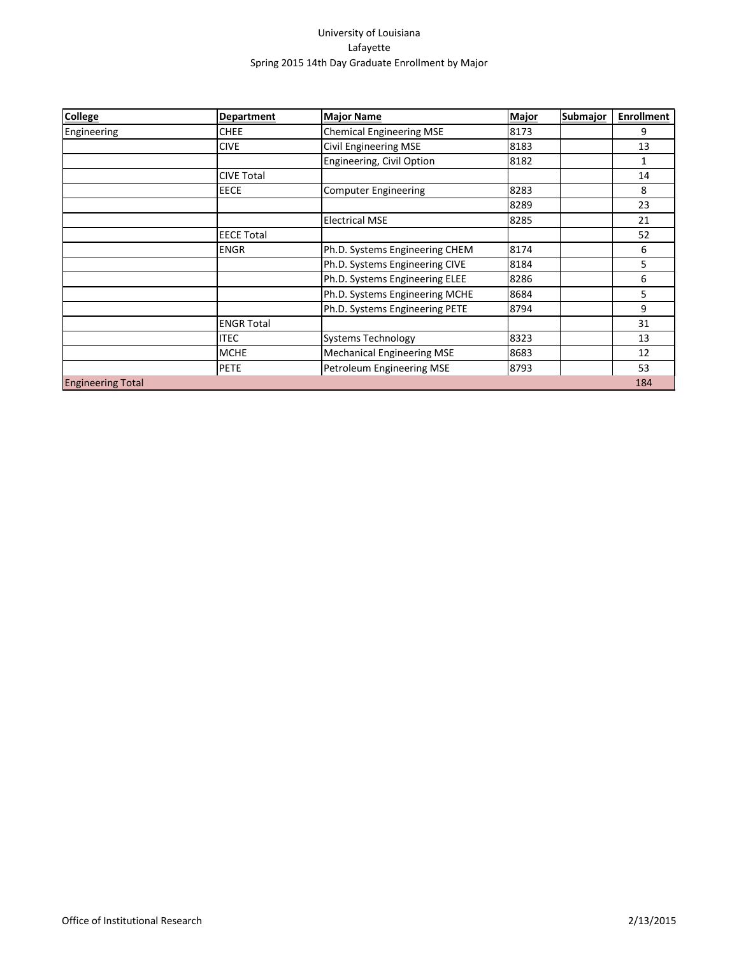| <b>College</b>           | <b>Department</b> | <b>Major Name</b>                 | <b>Major</b> | <b>Submajor</b> | <b>Enrollment</b> |
|--------------------------|-------------------|-----------------------------------|--------------|-----------------|-------------------|
| Engineering              | <b>CHEE</b>       | <b>Chemical Engineering MSE</b>   | 8173         |                 | 9                 |
|                          | <b>CIVE</b>       | <b>Civil Engineering MSE</b>      | 8183         |                 | 13                |
|                          |                   | Engineering, Civil Option         | 8182         |                 | 1                 |
|                          | <b>CIVE Total</b> |                                   |              |                 | 14                |
|                          | <b>EECE</b>       | <b>Computer Engineering</b>       | 8283         |                 | 8                 |
|                          |                   |                                   | 8289         |                 | 23                |
|                          |                   | <b>Electrical MSE</b>             | 8285         |                 | 21                |
|                          | <b>EECE Total</b> |                                   |              |                 | 52                |
|                          | <b>ENGR</b>       | Ph.D. Systems Engineering CHEM    | 8174         |                 | 6                 |
|                          |                   | Ph.D. Systems Engineering CIVE    | 8184         |                 | 5                 |
|                          |                   | Ph.D. Systems Engineering ELEE    | 8286         |                 | 6                 |
|                          |                   | Ph.D. Systems Engineering MCHE    | 8684         |                 | 5                 |
|                          |                   | Ph.D. Systems Engineering PETE    | 8794         |                 | 9                 |
|                          | <b>ENGR Total</b> |                                   |              |                 | 31                |
|                          | <b>ITEC</b>       | <b>Systems Technology</b>         | 8323         |                 | 13                |
|                          | <b>MCHE</b>       | <b>Mechanical Engineering MSE</b> | 8683         |                 | 12                |
|                          | <b>PETE</b>       | Petroleum Engineering MSE         | 8793         |                 | 53                |
| <b>Engineering Total</b> |                   |                                   |              |                 | 184               |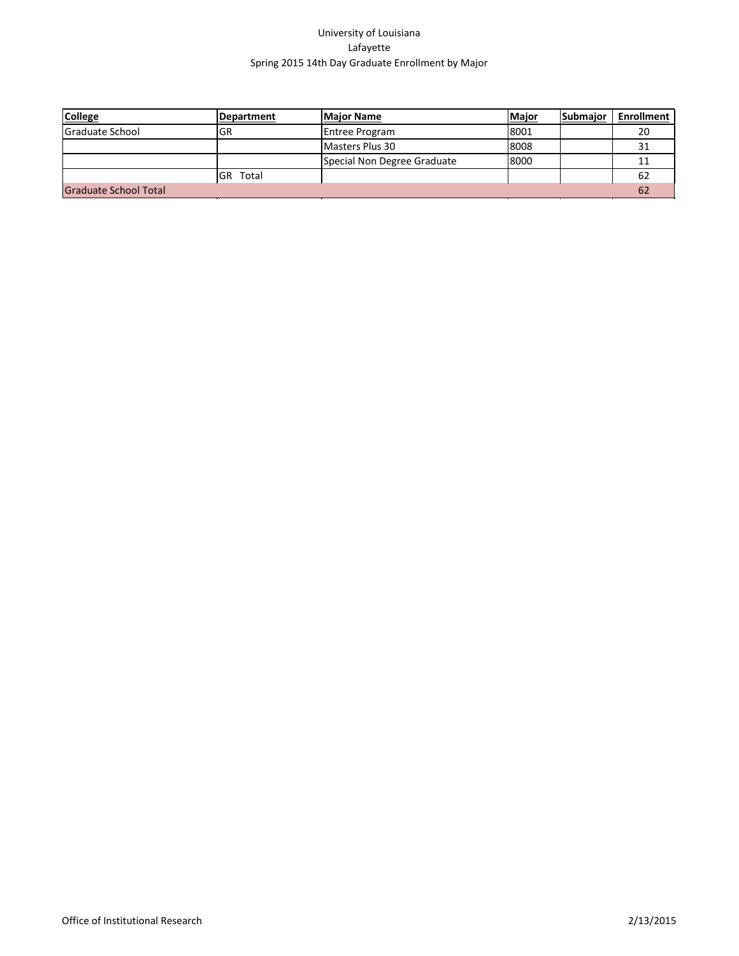| <b>College</b>               | Department | <b>Major Name</b>           | Major | Submajor | Enrollment |
|------------------------------|------------|-----------------------------|-------|----------|------------|
| <b>Graduate School</b>       | GR         | <b>Entree Program</b>       | 8001  |          | 20         |
|                              |            | Masters Plus 30             | 8008  |          |            |
|                              |            | Special Non Degree Graduate | 8000  |          |            |
|                              | IGR Total  |                             |       |          | 62         |
| <b>Graduate School Total</b> |            |                             |       |          | 62         |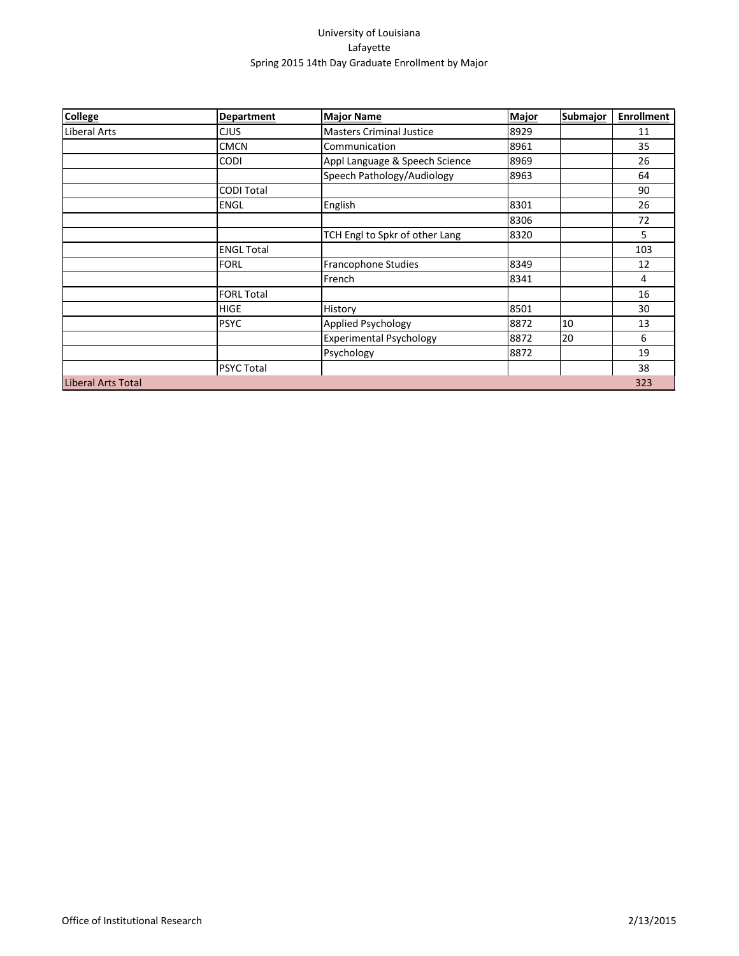| <b>College</b>            | <b>Department</b> | <b>Major Name</b>               | <b>Major</b> | <b>Submajor</b> | <b>Enrollment</b> |
|---------------------------|-------------------|---------------------------------|--------------|-----------------|-------------------|
| Liberal Arts              | <b>CJUS</b>       | <b>Masters Criminal Justice</b> | 8929         |                 | 11                |
|                           | <b>CMCN</b>       | Communication                   | 8961         |                 | 35                |
|                           | <b>CODI</b>       | Appl Language & Speech Science  | 8969         |                 | 26                |
|                           |                   | Speech Pathology/Audiology      | 8963         |                 | 64                |
|                           | <b>CODI Total</b> |                                 |              |                 | 90                |
|                           | <b>ENGL</b>       | English                         | 8301         |                 | 26                |
|                           |                   |                                 | 8306         |                 | 72                |
|                           |                   | TCH Engl to Spkr of other Lang  | 8320         |                 | 5                 |
|                           | <b>ENGL Total</b> |                                 |              |                 | 103               |
|                           | <b>FORL</b>       | Francophone Studies             | 8349         |                 | 12                |
|                           |                   | French                          | 8341         |                 | 4                 |
|                           | <b>FORL Total</b> |                                 |              |                 | 16                |
|                           | <b>HIGE</b>       | History                         | 8501         |                 | 30                |
|                           | <b>PSYC</b>       | Applied Psychology              | 8872         | 10              | 13                |
|                           |                   | <b>Experimental Psychology</b>  | 8872         | 20              | 6                 |
|                           |                   | Psychology                      | 8872         |                 | 19                |
|                           | <b>PSYC Total</b> |                                 |              |                 | 38                |
| <b>Liberal Arts Total</b> |                   |                                 |              |                 | 323               |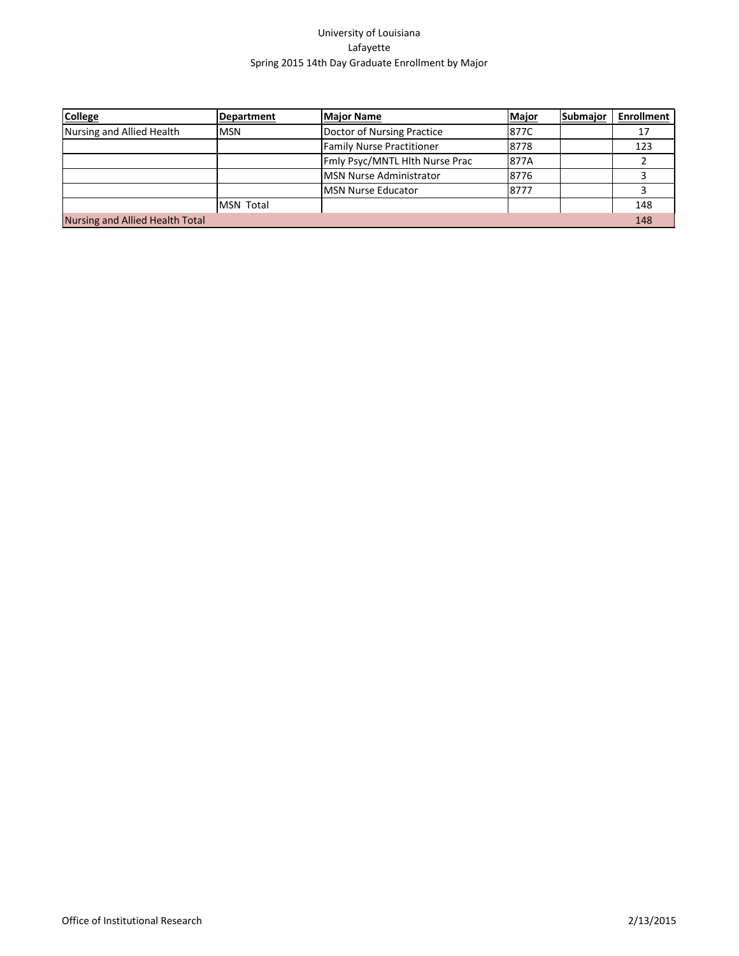| <b>College</b>                  | <b>Department</b> | <b>Major Name</b>                | Major | Submajor | <b>Enrollment</b> |
|---------------------------------|-------------------|----------------------------------|-------|----------|-------------------|
| Nursing and Allied Health       | lmsn              | Doctor of Nursing Practice       | 877C  |          |                   |
|                                 |                   | <b>Family Nurse Practitioner</b> | 8778  |          | 123               |
|                                 |                   | Fmly Psyc/MNTL Hith Nurse Prac   | 1877A |          |                   |
|                                 |                   | MSN Nurse Administrator          | 8776  |          |                   |
|                                 |                   | <b>IMSN Nurse Educator</b>       | 8777  |          |                   |
|                                 | <b>MSN Total</b>  |                                  |       |          | 148               |
| Nursing and Allied Health Total |                   |                                  |       |          | 148               |